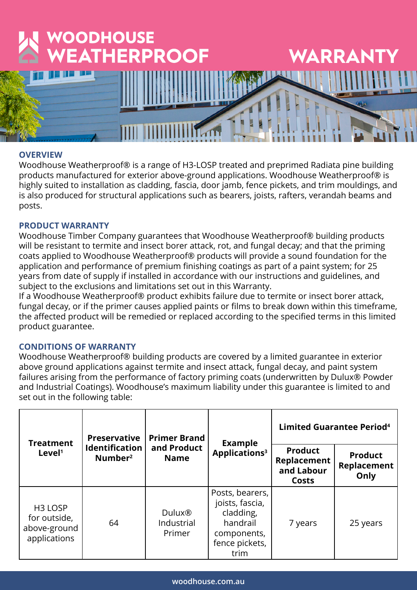

# **OVERVIEW**

Woodhouse Weatherproof® is a range of H3-LOSP treated and preprimed Radiata pine building products manufactured for exterior above-ground applications. Woodhouse Weatherproof® is highly suited to installation as cladding, fascia, door jamb, fence pickets, and trim mouldings, and is also produced for structural applications such as bearers, joists, rafters, verandah beams and posts.

## **PRODUCT WARRANTY**

Woodhouse Timber Company guarantees that Woodhouse Weatherproof® building products will be resistant to termite and insect borer attack, rot, and fungal decay; and that the priming coats applied to Woodhouse Weatherproof® products will provide a sound foundation for the application and performance of premium finishing coatings as part of a paint system; for 25 years from date of supply if installed in accordance with our instructions and guidelines, and subject to the exclusions and limitations set out in this Warranty.

If a Woodhouse Weatherproof® product exhibits failure due to termite or insect borer attack, fungal decay, or if the primer causes applied paints or films to break down within this timeframe, the affected product will be remedied or replaced according to the specified terms in this limited product guarantee.

## **CONDITIONS OF WARRANTY**

Woodhouse Weatherproof® building products are covered by a limited guarantee in exterior above ground applications against termite and insect attack, fungal decay, and paint system failures arising from the performance of factory priming coats (underwritten by Dulux® Powder and Industrial Coatings). Woodhouse's maximum liability under this guarantee is limited to and set out in the following table:

| <b>Treatment</b><br>Level <sup>1</sup>                              | <b>Preservative</b><br><b>Identification</b><br>Number <sup>2</sup> | <b>Primer Brand</b><br>and Product<br><b>Name</b> | <b>Example</b><br>Applications <sup>3</sup>                                                          | <b>Limited Guarantee Period<sup>4</sup></b>          |                                       |
|---------------------------------------------------------------------|---------------------------------------------------------------------|---------------------------------------------------|------------------------------------------------------------------------------------------------------|------------------------------------------------------|---------------------------------------|
|                                                                     |                                                                     |                                                   |                                                                                                      | <b>Product</b><br>Replacement<br>and Labour<br>Costs | <b>Product</b><br>Replacement<br>Only |
| H <sub>3</sub> LOSP<br>for outside,<br>above-ground<br>applications | 64                                                                  | Dulux <sup>®</sup><br>Industrial<br>Primer        | Posts, bearers,<br>joists, fascia,<br>cladding,<br>handrail<br>components,<br>fence pickets,<br>trim | 7 years                                              | 25 years                              |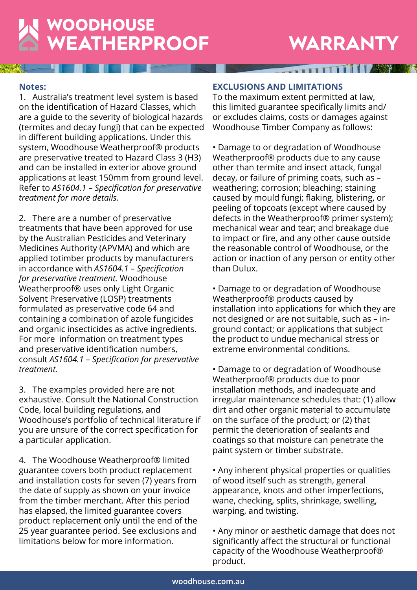# WOODHOUSE<br>WEATHERPROOF

# **WARRANTY**

**THE REAL PROPERTY OF REAL PROPERTY** 

## **Notes:**

1. Australia's treatment level system is based on the identification of Hazard Classes, which are a guide to the severity of biological hazards (termites and decay fungi) that can be expected in different building applications. Under this system, Woodhouse Weatherproof® products are preservative treated to Hazard Class 3 (H3) and can be installed in exterior above ground applications at least 150mm from ground level. Refer to *AS1604.1 – Specification for preservative treatment for more details.* 

2. There are a number of preservative treatments that have been approved for use by the Australian Pesticides and Veterinary Medicines Authority (APVMA) and which are applied totimber products by manufacturers in accordance with *AS1604.1 – Specification for preservative treatment.* Woodhouse Weatherproof® uses only Light Organic Solvent Preservative (LOSP) treatments formulated as preservative code 64 and containing a combination of azole fungicides and organic insecticides as active ingredients. For more information on treatment types and preservative identification numbers, consult *AS1604.1 – Specification for preservative treatment.*

3. The examples provided here are not exhaustive. Consult the National Construction Code, local building regulations, and Woodhouse's portfolio of technical literature if you are unsure of the correct specification for a particular application.

4. The Woodhouse Weatherproof® limited guarantee covers both product replacement and installation costs for seven (7) years from the date of supply as shown on your invoice from the timber merchant. After this period has elapsed, the limited guarantee covers product replacement only until the end of the 25 year guarantee period. See exclusions and limitations below for more information.

## **EXCLUSIONS AND LIMITATIONS**

To the maximum extent permitted at law, this limited guarantee specifically limits and/ or excludes claims, costs or damages against Woodhouse Timber Company as follows:

• Damage to or degradation of Woodhouse Weatherproof® products due to any cause other than termite and insect attack, fungal decay, or failure of priming coats, such as – weathering; corrosion; bleaching; staining caused by mould fungi; flaking, blistering, or peeling of topcoats (except where caused by defects in the Weatherproof® primer system); mechanical wear and tear; and breakage due to impact or fire, and any other cause outside the reasonable control of Woodhouse, or the action or inaction of any person or entity other than Dulux.

• Damage to or degradation of Woodhouse Weatherproof® products caused by installation into applications for which they are not designed or are not suitable, such as – inground contact; or applications that subject the product to undue mechanical stress or extreme environmental conditions.

• Damage to or degradation of Woodhouse Weatherproof® products due to poor installation methods, and inadequate and irregular maintenance schedules that: (1) allow dirt and other organic material to accumulate on the surface of the product; or (2) that permit the deterioration of sealants and coatings so that moisture can penetrate the paint system or timber substrate.

• Any inherent physical properties or qualities of wood itself such as strength, general appearance, knots and other imperfections, wane, checking, splits, shrinkage, swelling, warping, and twisting.

• Any minor or aesthetic damage that does not significantly affect the structural or functional capacity of the Woodhouse Weatherproof® product.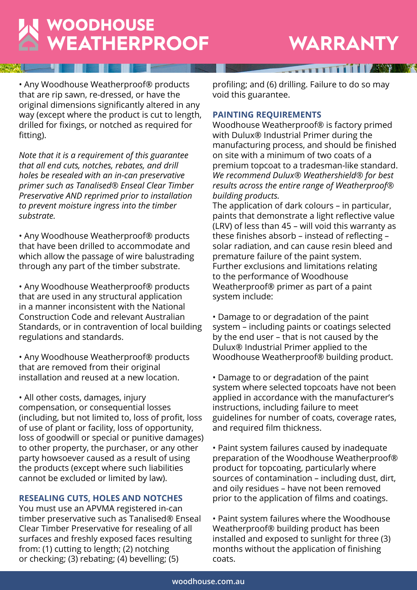

# **WARRANTY**

**THEFT IT IS AND** 

• Any Woodhouse Weatherproof® products that are rip sawn, re-dressed, or have the original dimensions significantly altered in any way (except where the product is cut to length, drilled for fixings, or notched as required for fitting).

*Note that it is a requirement of this guarantee that all end cuts, notches, rebates, and drill holes be resealed with an in-can preservative primer such as Tanalised® Enseal Clear Timber Preservative AND reprimed prior to installation to prevent moisture ingress into the timber substrate.*

• Any Woodhouse Weatherproof® products that have been drilled to accommodate and which allow the passage of wire balustrading through any part of the timber substrate.

• Any Woodhouse Weatherproof® products that are used in any structural application in a manner inconsistent with the National Construction Code and relevant Australian Standards, or in contravention of local building regulations and standards.

• Any Woodhouse Weatherproof® products that are removed from their original installation and reused at a new location.

• All other costs, damages, injury compensation, or consequential losses (including, but not limited to, loss of profit, loss of use of plant or facility, loss of opportunity, loss of goodwill or special or punitive damages) to other property, the purchaser, or any other party howsoever caused as a result of using the products (except where such liabilities cannot be excluded or limited by law).

# **RESEALING CUTS, HOLES AND NOTCHES**

You must use an APVMA registered in-can timber preservative such as Tanalised® Enseal Clear Timber Preservative for resealing of all surfaces and freshly exposed faces resulting from: (1) cutting to length; (2) notching or checking; (3) rebating; (4) bevelling; (5)

profiling; and (6) drilling. Failure to do so may void this guarantee.

#### **PAINTING REQUIREMENTS**

Woodhouse Weatherproof® is factory primed with Dulux® Industrial Primer during the manufacturing process, and should be finished on site with a minimum of two coats of a premium topcoat to a tradesman-like standard. *We recommend Dulux® Weathershield® for best results across the entire range of Weatherproof® building products.* 

The application of dark colours – in particular, paints that demonstrate a light reflective value (LRV) of less than 45 – will void this warranty as these finishes absorb – instead of reflecting – solar radiation, and can cause resin bleed and premature failure of the paint system. Further exclusions and limitations relating to the performance of Woodhouse Weatherproof® primer as part of a paint system include:

• Damage to or degradation of the paint system – including paints or coatings selected by the end user – that is not caused by the Dulux® Industrial Primer applied to the Woodhouse Weatherproof® building product.

• Damage to or degradation of the paint system where selected topcoats have not been applied in accordance with the manufacturer's instructions, including failure to meet guidelines for number of coats, coverage rates, and required film thickness.

• Paint system failures caused by inadequate preparation of the Woodhouse Weatherproof® product for topcoating, particularly where sources of contamination – including dust, dirt, and oily residues – have not been removed prior to the application of films and coatings.

• Paint system failures where the Woodhouse Weatherproof® building product has been installed and exposed to sunlight for three (3) months without the application of finishing coats.